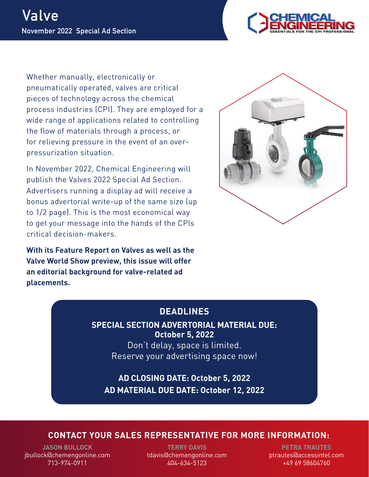

Whether manually, electronically or pneumatically operated, valves are critical pieces of technology across the chemical process industries (CPI). They are employed for a wide range of applications related to controlling the flow of materials through a process, or for relieving pressure in the event of an overpressurization situation.

In November 2022, Chemical Engineering will publish the Valves 2022 Special Ad Section. Advertisers running a display ad will receive a bonus advertorial write-up of the same size (up to 1/2 page). This is the most economical way to get your message into the hands of the CPIs critical decision-makers.

**With its Feature Report on Valves as well as the Valve World Show preview, this issue will offer an editorial background for valve-related ad placements.**



## **DEADLINES**

**SPECIAL SECTION ADVERTORIAL MATERIAL DUE: October 5, 2022**

> Don't delay, space is limited. Reserve your advertising space now!

**AD CLOSING DATE: October 5, 2022 AD MATERIAL DUE DATE: October 12, 2022**

## **CONTACT YOUR SALES REPRESENTATIVE FOR MORE INFORMATION:**

**JASON BULLOCK** jbullock@chemengonline.com 713-974-0911

**TERRY DAVIS** tdavis@chemengonline.com 404-634-5123

**PETRA TRAUTES** ptrautes@accessintel.com +49 69 58604760